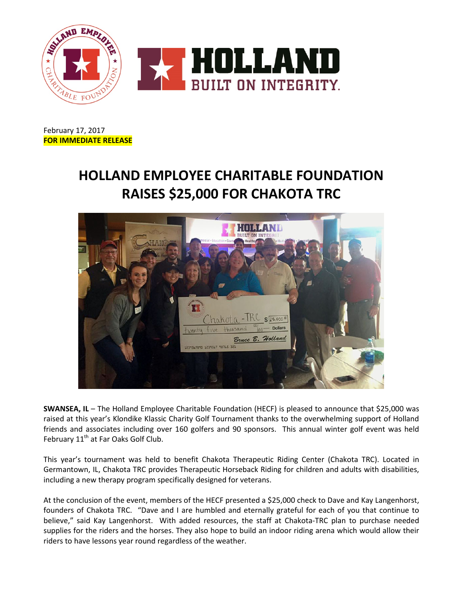

February 17, 2017 **FOR IMMEDIATE RELEASE**

## **HOLLAND EMPLOYEE CHARITABLE FOUNDATION RAISES \$25,000 FOR CHAKOTA TRC**



**SWANSEA, IL** – The Holland Employee Charitable Foundation (HECF) is pleased to announce that \$25,000 was raised at this year's Klondike Klassic Charity Golf Tournament thanks to the overwhelming support of Holland friends and associates including over 160 golfers and 90 sponsors. This annual winter golf event was held February 11<sup>th</sup> at Far Oaks Golf Club.

This year's tournament was held to benefit Chakota Therapeutic Riding Center (Chakota TRC). Located in Germantown, IL, Chakota TRC provides Therapeutic Horseback Riding for children and adults with disabilities, including a new therapy program specifically designed for veterans.

At the conclusion of the event, members of the HECF presented a \$25,000 check to Dave and Kay Langenhorst, founders of Chakota TRC. "Dave and I are humbled and eternally grateful for each of you that continue to believe," said Kay Langenhorst. With added resources, the staff at Chakota-TRC plan to purchase needed supplies for the riders and the horses. They also hope to build an indoor riding arena which would allow their riders to have lessons year round regardless of the weather.